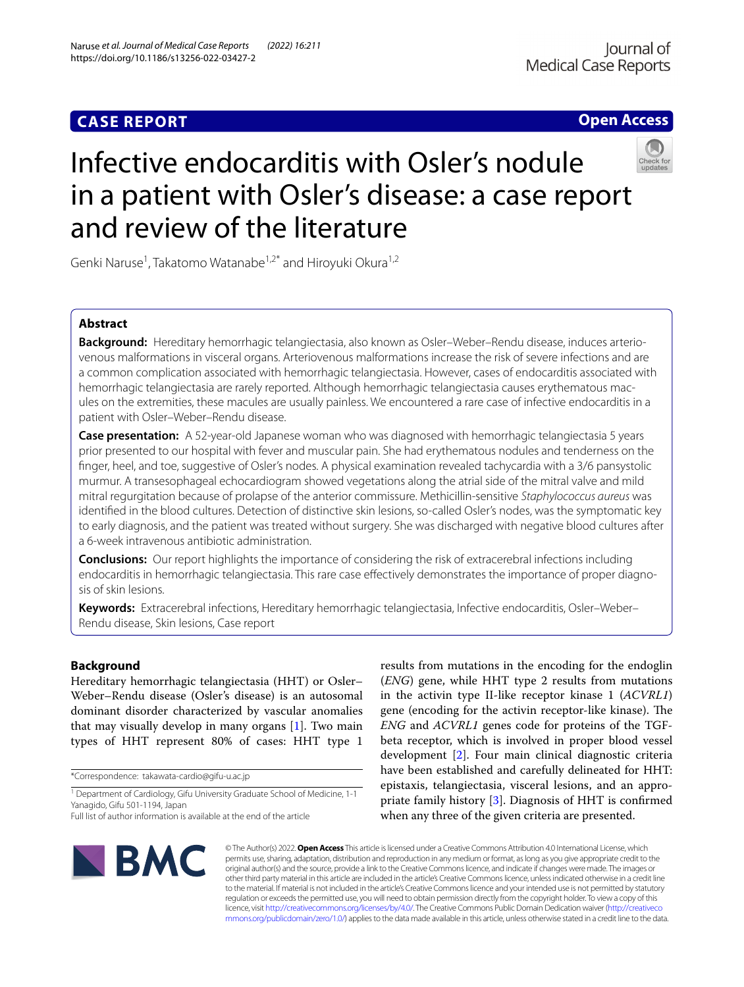## **CASE REPORT**

**Open Access**

# Infective endocarditis with Osler's nodule in a patient with Osler's disease: a case report and review of the literature



Genki Naruse<sup>1</sup>, Takatomo Watanabe<sup>1,2\*</sup> and Hiroyuki Okura<sup>1,2</sup>

## **Abstract**

**Background:** Hereditary hemorrhagic telangiectasia, also known as Osler–Weber–Rendu disease, induces arteriovenous malformations in visceral organs. Arteriovenous malformations increase the risk of severe infections and are a common complication associated with hemorrhagic telangiectasia. However, cases of endocarditis associated with hemorrhagic telangiectasia are rarely reported. Although hemorrhagic telangiectasia causes erythematous macules on the extremities, these macules are usually painless. We encountered a rare case of infective endocarditis in a patient with Osler–Weber–Rendu disease.

**Case presentation:** A 52-year-old Japanese woman who was diagnosed with hemorrhagic telangiectasia 5 years prior presented to our hospital with fever and muscular pain. She had erythematous nodules and tenderness on the fnger, heel, and toe, suggestive of Osler's nodes. A physical examination revealed tachycardia with a 3/6 pansystolic murmur. A transesophageal echocardiogram showed vegetations along the atrial side of the mitral valve and mild mitral regurgitation because of prolapse of the anterior commissure. Methicillin-sensitive *Staphylococcus aureus* was identifed in the blood cultures. Detection of distinctive skin lesions, so-called Osler's nodes, was the symptomatic key to early diagnosis, and the patient was treated without surgery. She was discharged with negative blood cultures after a 6-week intravenous antibiotic administration.

**Conclusions:** Our report highlights the importance of considering the risk of extracerebral infections including endocarditis in hemorrhagic telangiectasia. This rare case efectively demonstrates the importance of proper diagnosis of skin lesions.

**Keywords:** Extracerebral infections, Hereditary hemorrhagic telangiectasia, Infective endocarditis, Osler–Weber– Rendu disease, Skin lesions, Case report

### **Background**

Hereditary hemorrhagic telangiectasia (HHT) or Osler– Weber–Rendu disease (Osler's disease) is an autosomal dominant disorder characterized by vascular anomalies that may visually develop in many organs [\[1](#page-3-0)]. Two main types of HHT represent 80% of cases: HHT type 1

\*Correspondence: takawata-cardio@gifu-u.ac.jp

<sup>1</sup> Department of Cardiology, Gifu University Graduate School of Medicine, 1-1 Yanagido, Gifu 501-1194, Japan

results from mutations in the encoding for the endoglin (*ENG*) gene, while HHT type 2 results from mutations in the activin type II-like receptor kinase 1 (*ACVRL1*) gene (encoding for the activin receptor-like kinase). The *ENG* and *ACVRL1* genes code for proteins of the TGFbeta receptor, which is involved in proper blood vessel development [\[2](#page-3-1)]. Four main clinical diagnostic criteria have been established and carefully delineated for HHT: epistaxis, telangiectasia, visceral lesions, and an appropriate family history [[3\]](#page-3-2). Diagnosis of HHT is confrmed when any three of the given criteria are presented.



© The Author(s) 2022. **Open Access** This article is licensed under a Creative Commons Attribution 4.0 International License, which permits use, sharing, adaptation, distribution and reproduction in any medium or format, as long as you give appropriate credit to the original author(s) and the source, provide a link to the Creative Commons licence, and indicate if changes were made. The images or other third party material in this article are included in the article's Creative Commons licence, unless indicated otherwise in a credit line to the material. If material is not included in the article's Creative Commons licence and your intended use is not permitted by statutory regulation or exceeds the permitted use, you will need to obtain permission directly from the copyright holder. To view a copy of this licence, visit [http://creativecommons.org/licenses/by/4.0/.](http://creativecommons.org/licenses/by/4.0/) The Creative Commons Public Domain Dedication waiver ([http://creativeco](http://creativecommons.org/publicdomain/zero/1.0/) [mmons.org/publicdomain/zero/1.0/](http://creativecommons.org/publicdomain/zero/1.0/)) applies to the data made available in this article, unless otherwise stated in a credit line to the data.

Full list of author information is available at the end of the article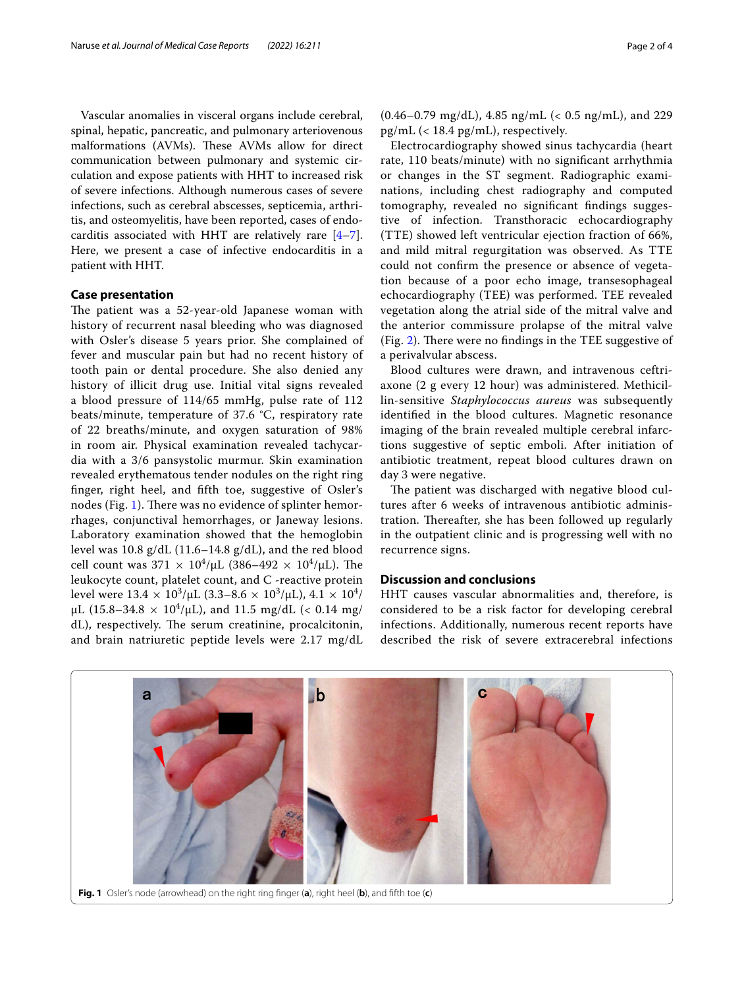Vascular anomalies in visceral organs include cerebral, spinal, hepatic, pancreatic, and pulmonary arteriovenous malformations (AVMs). These AVMs allow for direct communication between pulmonary and systemic circulation and expose patients with HHT to increased risk of severe infections. Although numerous cases of severe infections, such as cerebral abscesses, septicemia, arthritis, and osteomyelitis, have been reported, cases of endocarditis associated with HHT are relatively rare [\[4](#page-3-3)[–7](#page-3-4)]. Here, we present a case of infective endocarditis in a patient with HHT.

#### **Case presentation**

The patient was a 52-year-old Japanese woman with history of recurrent nasal bleeding who was diagnosed with Osler's disease 5 years prior. She complained of fever and muscular pain but had no recent history of tooth pain or dental procedure. She also denied any history of illicit drug use. Initial vital signs revealed a blood pressure of 114/65 mmHg, pulse rate of 112 beats/minute, temperature of 37.6 °C, respiratory rate of 22 breaths/minute, and oxygen saturation of 98% in room air. Physical examination revealed tachycardia with a 3/6 pansystolic murmur. Skin examination revealed erythematous tender nodules on the right ring fnger, right heel, and ffth toe, suggestive of Osler's nodes (Fig. [1\)](#page-1-0). There was no evidence of splinter hemorrhages, conjunctival hemorrhages, or Janeway lesions. Laboratory examination showed that the hemoglobin level was 10.8 g/dL (11.6–14.8 g/dL), and the red blood cell count was  $371 \times 10^4/\mu$ L (386–492  $\times 10^4/\mu$ L). The leukocyte count, platelet count, and C -reactive protein level were  $13.4 \times 10^3/\mu$ L (3.3–8.6  $\times$   $10^3/\mu$ L),  $4.1 \times 10^4/\mu$  $\mu$ L (15.8–34.8  $\times$  10<sup>4</sup>/ $\mu$ L), and 11.5 mg/dL (< 0.14 mg/ dL), respectively. The serum creatinine, procalcitonin, and brain natriuretic peptide levels were 2.17 mg/dL

Electrocardiography showed sinus tachycardia (heart rate, 110 beats/minute) with no signifcant arrhythmia or changes in the ST segment. Radiographic examinations, including chest radiography and computed tomography, revealed no signifcant fndings suggestive of infection. Transthoracic echocardiography (TTE) showed left ventricular ejection fraction of 66%, and mild mitral regurgitation was observed. As TTE could not confrm the presence or absence of vegetation because of a poor echo image, transesophageal echocardiography (TEE) was performed. TEE revealed vegetation along the atrial side of the mitral valve and the anterior commissure prolapse of the mitral valve (Fig. [2\)](#page-2-0). There were no findings in the TEE suggestive of a perivalvular abscess.

Blood cultures were drawn, and intravenous ceftriaxone (2 g every 12 hour) was administered. Methicillin-sensitive *Staphylococcus aureus* was subsequently identifed in the blood cultures. Magnetic resonance imaging of the brain revealed multiple cerebral infarctions suggestive of septic emboli. After initiation of antibiotic treatment, repeat blood cultures drawn on day 3 were negative.

The patient was discharged with negative blood cultures after 6 weeks of intravenous antibiotic administration. Thereafter, she has been followed up regularly in the outpatient clinic and is progressing well with no recurrence signs.

#### **Discussion and conclusions**

HHT causes vascular abnormalities and, therefore, is considered to be a risk factor for developing cerebral infections. Additionally, numerous recent reports have described the risk of severe extracerebral infections

<span id="page-1-0"></span>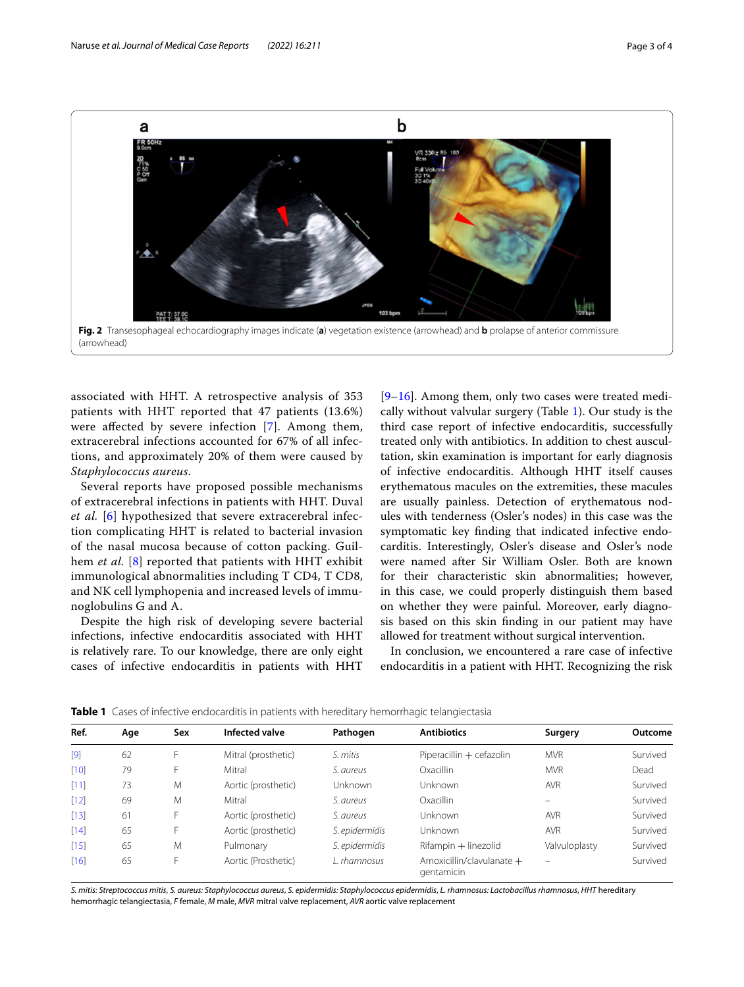

<span id="page-2-0"></span>associated with HHT. A retrospective analysis of 353 patients with HHT reported that 47 patients (13.6%) were affected by severe infection [[7](#page-3-4)]. Among them, extracerebral infections accounted for 67% of all infections, and approximately 20% of them were caused by *Staphylococcus aureus*.

Several reports have proposed possible mechanisms of extracerebral infections in patients with HHT. Duval *et al.* [[6\]](#page-3-5) hypothesized that severe extracerebral infection complicating HHT is related to bacterial invasion of the nasal mucosa because of cotton packing. Guilhem *et al.* [[8](#page-3-6)] reported that patients with HHT exhibit immunological abnormalities including T CD4, T CD8, and NK cell lymphopenia and increased levels of immunoglobulins G and A.

Despite the high risk of developing severe bacterial infections, infective endocarditis associated with HHT is relatively rare. To our knowledge, there are only eight cases of infective endocarditis in patients with HHT

[[9–](#page-3-7)[16\]](#page-3-8). Among them, only two cases were treated medically without valvular surgery (Table [1](#page-2-1)). Our study is the third case report of infective endocarditis, successfully treated only with antibiotics. In addition to chest auscultation, skin examination is important for early diagnosis of infective endocarditis. Although HHT itself causes erythematous macules on the extremities, these macules are usually painless. Detection of erythematous nodules with tenderness (Osler's nodes) in this case was the symptomatic key fnding that indicated infective endocarditis. Interestingly, Osler's disease and Osler's node were named after Sir William Osler. Both are known for their characteristic skin abnormalities; however, in this case, we could properly distinguish them based on whether they were painful. Moreover, early diagnosis based on this skin fnding in our patient may have allowed for treatment without surgical intervention.

In conclusion, we encountered a rare case of infective endocarditis in a patient with HHT. Recognizing the risk

| Ref.   | Age | Sex | Infected valve      | Pathogen       | <b>Antibiotics</b>                        | Surgery       | Outcome  |
|--------|-----|-----|---------------------|----------------|-------------------------------------------|---------------|----------|
| [9]    | 62  | F   | Mitral (prosthetic) | S. mitis       | Piperacillin + cefazolin                  | <b>MVR</b>    | Survived |
| $[10]$ | 79  |     | Mitral              | S. aureus      | Oxacillin                                 | <b>MVR</b>    | Dead     |
| $[11]$ | 73  | M   | Aortic (prosthetic) | Unknown        | Unknown                                   | <b>AVR</b>    | Survived |
| $[12]$ | 69  | M   | Mitral              | S. aureus      | Oxacillin                                 |               | Survived |
| $[13]$ | 61  | ⊦   | Aortic (prosthetic) | S. aureus      | Unknown                                   | <b>AVR</b>    | Survived |
| $[14]$ | 65  | ۲   | Aortic (prosthetic) | S. epidermidis | Unknown                                   | <b>AVR</b>    | Survived |
| $[15]$ | 65  | M   | Pulmonary           | S. epidermidis | Rifampin + linezolid                      | Valvuloplasty | Survived |
| $[16]$ | 65  |     | Aortic (Prosthetic) | L. rhamnosus   | Amoxicillin/clavulanate $+$<br>gentamicin |               | Survived |

<span id="page-2-1"></span>**Table 1** Cases of infective endocarditis in patients with hereditary hemorrhagic telangiectasia

*S. mitis: Streptococcus mitis*, *S. aureus: Staphylococcus aureus*, *S. epidermidis: Staphylococcus epidermidis*, *L. rhamnosus: Lactobacillus rhamnosus*, *HHT* hereditary hemorrhagic telangiectasia, *F* female, *M* male, *MVR* mitral valve replacement, *AVR* aortic valve replacement